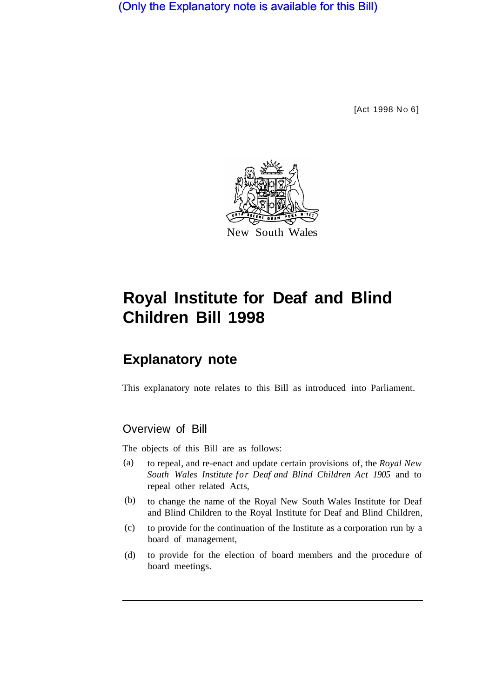(Only the Explanatory note is available for this Bill)

[Act 1998 No 6]



# **Royal Institute for Deaf and Blind Children Bill 1998**

## **Explanatory note**

This explanatory note relates to this Bill as introduced into Parliament.

## Overview of Bill

The objects of this Bill are as follows:

- to repeal, and re-enact and update certain provisions of, the *Royal New South Wales Institute for Deaf and Blind Children Act 1905* and to repeal other related Acts, (a)
- to change the name of the Royal New South Wales Institute for Deaf and Blind Children to the Royal Institute for Deaf and Blind Children, (b)
- to provide for the continuation of the Institute as a corporation run by a board of management, (c)
- to provide for the election of board members and the procedure of board meetings. (d)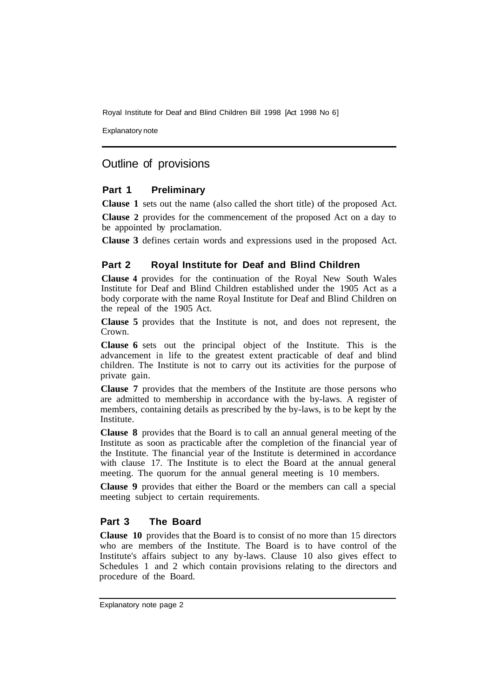Royal Institute for Deaf and Blind Children Bill 1998 [Act 1998 No 6]

Explanatory note

## Outline of provisions

#### **Part 1 Preliminary**

**Clause 1** sets out the name (also called the short title) of the proposed Act.

**Clause 2** provides for the commencement of the proposed Act on a day to be appointed by proclamation.

**Clause 3** defines certain words and expressions used in the proposed Act.

#### **Part 2 Royal Institute for Deaf and Blind Children**

**Clause 4** provides for the continuation of the Royal New South Wales Institute for Deaf and Blind Children established under the 1905 Act as a body corporate with the name Royal Institute for Deaf and Blind Children on the repeal of the 1905 Act.

**Clause 5** provides that the Institute is not, and does not represent, the Crown.

**Clause 6** sets out the principal object of the Institute. This is the advancement in life to the greatest extent practicable of deaf and blind children. The Institute is not to carry out its activities for the purpose of private gain.

**Clause 7** provides that the members of the Institute are those persons who are admitted to membership in accordance with the by-laws. A register of members, containing details as prescribed by the by-laws, is to be kept by the Institute.

**Clause 8** provides that the Board is to call an annual general meeting of the Institute as soon as practicable after the completion of the financial year of the Institute. The financial year of the Institute is determined in accordance with clause 17. The Institute is to elect the Board at the annual general meeting. The quorum for the annual general meeting is 10 members.

**Clause 9** provides that either the Board or the members can call a special meeting subject to certain requirements.

#### **Part 3 The Board**

**Clause 10** provides that the Board is to consist of no more than 15 directors who are members of the Institute. The Board is to have control of the Institute's affairs subject to any by-laws. Clause 10 also gives effect to Schedules 1 and 2 which contain provisions relating to the directors and procedure of the Board.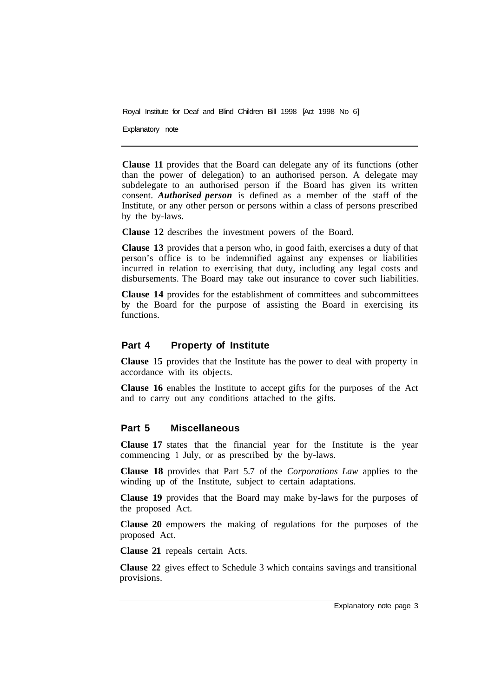Royal Institute for Deaf and Blind Children Bill 1998 [Act 1998 No 6]

Explanatory note

**Clause 11** provides that the Board can delegate any of its functions (other than the power of delegation) to an authorised person. A delegate may subdelegate to an authorised person if the Board has given its written consent. *Authorised person* is defined as a member of the staff of the Institute, or any other person or persons within a class of persons prescribed by the by-laws.

**Clause 12** describes the investment powers of the Board.

**Clause 13** provides that a person who, in good faith, exercises a duty of that person's office is to be indemnified against any expenses or liabilities incurred in relation to exercising that duty, including any legal costs and disbursements. The Board may take out insurance to cover such liabilities.

**Clause 14** provides for the establishment of committees and subcommittees by the Board for the purpose of assisting the Board in exercising its functions.

#### **Part 4 Property of Institute**

**Clause 15** provides that the Institute has the power to deal with property in accordance with its objects.

**Clause 16** enables the Institute to accept gifts for the purposes of the Act and to carry out any conditions attached to the gifts.

#### **Part 5 Miscellaneous**

**Clause 17** states that the financial year for the Institute is the year commencing 1 July, or as prescribed by the by-laws.

**Clause 18** provides that Part 5.7 of the *Corporations Law* applies to the winding up of the Institute, subject to certain adaptations.

**Clause 19** provides that the Board may make by-laws for the purposes of the proposed Act.

**Clause 20** empowers the making of regulations for the purposes of the proposed Act.

**Clause 21** repeals certain Acts.

**Clause 22** gives effect to Schedule 3 which contains savings and transitional provisions.